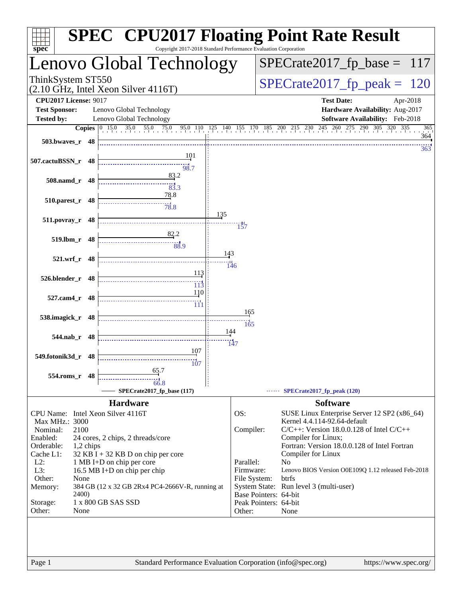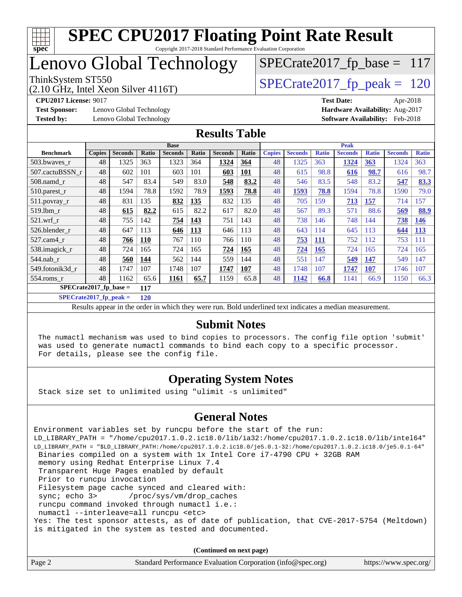

Copyright 2017-2018 Standard Performance Evaluation Corporation

## Lenovo Global Technology

(2.10 GHz, Intel Xeon Silver 4116T)

ThinkSystem ST550<br>(2.10 GHz, Intel Xeon Silver 4116T)  $\begin{array}{|l|l|}\n\hline\n\text{SPECrate2017\_fp\_peak} = 120\n\end{array}$ 

 $SPECrate2017_fp\_base = 117$ 

**[Test Sponsor:](http://www.spec.org/auto/cpu2017/Docs/result-fields.html#TestSponsor)** Lenovo Global Technology **[Hardware Availability:](http://www.spec.org/auto/cpu2017/Docs/result-fields.html#HardwareAvailability)** Aug-2017 **[Tested by:](http://www.spec.org/auto/cpu2017/Docs/result-fields.html#Testedby)** Lenovo Global Technology **[Software Availability:](http://www.spec.org/auto/cpu2017/Docs/result-fields.html#SoftwareAvailability)** Feb-2018

**[CPU2017 License:](http://www.spec.org/auto/cpu2017/Docs/result-fields.html#CPU2017License)** 9017 **[Test Date:](http://www.spec.org/auto/cpu2017/Docs/result-fields.html#TestDate)** Apr-2018

#### **[Results Table](http://www.spec.org/auto/cpu2017/Docs/result-fields.html#ResultsTable)**

|                                 | <b>Base</b>   |                |            |                |       | <b>Peak</b>    |            |               |                |              |                |              |                |              |
|---------------------------------|---------------|----------------|------------|----------------|-------|----------------|------------|---------------|----------------|--------------|----------------|--------------|----------------|--------------|
| <b>Benchmark</b>                | <b>Copies</b> | <b>Seconds</b> | Ratio      | <b>Seconds</b> | Ratio | <b>Seconds</b> | Ratio      | <b>Copies</b> | <b>Seconds</b> | <b>Ratio</b> | <b>Seconds</b> | <b>Ratio</b> | <b>Seconds</b> | <b>Ratio</b> |
| 503.bwayes_r                    | 48            | 1325           | 363        | 1323           | 364   | 1324           | 364        | 48            | 1325           | 363          | 1324           | 363          | 1324           | 363          |
| 507.cactuBSSN r                 | 48            | 602            | 101        | 603            | 101   | 603            | <b>101</b> | 48            | 615            | 98.8         | 616            | 98.7         | 616            | 98.7         |
| $508$ .namd $r$                 | 48            | 547            | 83.4       | 549            | 83.0  | 548            | 83.2       | 48            | 546            | 83.5         | 548            | 83.2         | 547            | 83.3         |
| $510.parest_r$                  | 48            | 1594           | 78.8       | 1592           | 78.9  | 1593           | 78.8       | 48            | 1593           | 78.8         | 1594           | 78.8         | 1590           | 79.0         |
| $511.$ povray_r                 | 48            | 831            | 135        | 832            | 135   | 832            | 135        | 48            | 705            | 159          | <u>713</u>     | 157          | 714            | 157          |
| 519.1bm r                       | 48            | 615            | 82.2       | 615            | 82.2  | 617            | 82.0       | 48            | 567            | 89.3         | 571            | 88.6         | 569            | 88.9         |
| $521.wrf_r$                     | 48            | 755            | 142        | 754            | 143   | 751            | 143        | 48            | 738            | 146          | 748            | 144          | 738            | <b>146</b>   |
| 526.blender r                   | 48            | 647            | 113        | 646            | 113   | 646            | 113        | 48            | 643            | 114          | 645            | 113          | 644            | 113          |
| 527.cam4_r                      | 48            | 766            | <b>110</b> | 767            | 110   | 766            | 110        | 48            | 753            | <b>111</b>   | 752            | 112          | 753            | 111          |
| 538.imagick_r                   | 48            | 724            | 165        | 724            | 165   | 724            | 165        | 48            | 724            | <b>165</b>   | 724            | 165          | 724            | 165          |
| 544.nab r                       | 48            | 560            | 144        | 562            | 144   | 559            | 144        | 48            | 551            | 147          | 549            | 147          | 549            | 147          |
| 549.fotonik3d r                 | 48            | 1747           | 107        | 1748           | 107   | 1747           | 107        | 48            | 1748           | 107          | 1747           | 107          | 1746           | 107          |
| $554$ .roms $r$                 | 48            | 1162           | 65.6       | 1161           | 65.7  | 1159           | 65.8       | 48            | 1142           | 66.8         | 1141           | 66.9         | 1150           | 66.3         |
| $SPECrate2017$ fp base =<br>117 |               |                |            |                |       |                |            |               |                |              |                |              |                |              |

**[SPECrate2017\\_fp\\_peak =](http://www.spec.org/auto/cpu2017/Docs/result-fields.html#SPECrate2017fppeak) 120**

Results appear in the [order in which they were run.](http://www.spec.org/auto/cpu2017/Docs/result-fields.html#RunOrder) Bold underlined text [indicates a median measurement.](http://www.spec.org/auto/cpu2017/Docs/result-fields.html#Median)

#### **[Submit Notes](http://www.spec.org/auto/cpu2017/Docs/result-fields.html#SubmitNotes)**

 The numactl mechanism was used to bind copies to processors. The config file option 'submit' was used to generate numactl commands to bind each copy to a specific processor. For details, please see the config file.

#### **[Operating System Notes](http://www.spec.org/auto/cpu2017/Docs/result-fields.html#OperatingSystemNotes)**

Stack size set to unlimited using "ulimit -s unlimited"

#### **[General Notes](http://www.spec.org/auto/cpu2017/Docs/result-fields.html#GeneralNotes)**

Environment variables set by runcpu before the start of the run: LD\_LIBRARY\_PATH = "/home/cpu2017.1.0.2.ic18.0/lib/ia32:/home/cpu2017.1.0.2.ic18.0/lib/intel64" LD\_LIBRARY\_PATH = "\$LD\_LIBRARY\_PATH:/home/cpu2017.1.0.2.ic18.0/je5.0.1-32:/home/cpu2017.1.0.2.ic18.0/je5.0.1-64" Binaries compiled on a system with 1x Intel Core i7-4790 CPU + 32GB RAM memory using Redhat Enterprise Linux 7.4 Transparent Huge Pages enabled by default Prior to runcpu invocation Filesystem page cache synced and cleared with: sync; echo 3> /proc/sys/vm/drop\_caches runcpu command invoked through numactl i.e.: numactl --interleave=all runcpu <etc> Yes: The test sponsor attests, as of date of publication, that CVE-2017-5754 (Meltdown) is mitigated in the system as tested and documented.

**(Continued on next page)**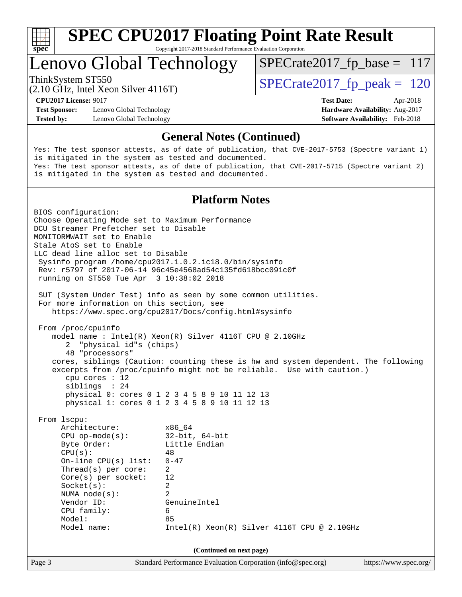

Copyright 2017-2018 Standard Performance Evaluation Corporation

### Lenovo Global Technology

ThinkSystem ST550<br>  $\frac{120}{(2.10 \text{ GHz})}$  [SPECrate2017\\_fp\\_peak =](http://www.spec.org/auto/cpu2017/Docs/result-fields.html#SPECrate2017fppeak) 120

 $SPECrate2017_fp\_base = 117$ 

(2.10 GHz, Intel Xeon Silver 4116T)

**[CPU2017 License:](http://www.spec.org/auto/cpu2017/Docs/result-fields.html#CPU2017License)** 9017 **[Test Date:](http://www.spec.org/auto/cpu2017/Docs/result-fields.html#TestDate)** Apr-2018

**[Test Sponsor:](http://www.spec.org/auto/cpu2017/Docs/result-fields.html#TestSponsor)** Lenovo Global Technology **[Hardware Availability:](http://www.spec.org/auto/cpu2017/Docs/result-fields.html#HardwareAvailability)** Aug-2017 **[Tested by:](http://www.spec.org/auto/cpu2017/Docs/result-fields.html#Testedby)** Lenovo Global Technology **[Software Availability:](http://www.spec.org/auto/cpu2017/Docs/result-fields.html#SoftwareAvailability)** Feb-2018

#### **[General Notes \(Continued\)](http://www.spec.org/auto/cpu2017/Docs/result-fields.html#GeneralNotes)**

Yes: The test sponsor attests, as of date of publication, that CVE-2017-5753 (Spectre variant 1) is mitigated in the system as tested and documented. Yes: The test sponsor attests, as of date of publication, that CVE-2017-5715 (Spectre variant 2) is mitigated in the system as tested and documented.

#### **[Platform Notes](http://www.spec.org/auto/cpu2017/Docs/result-fields.html#PlatformNotes)**

Page 3 Standard Performance Evaluation Corporation [\(info@spec.org\)](mailto:info@spec.org) <https://www.spec.org/> BIOS configuration: Choose Operating Mode set to Maximum Performance DCU Streamer Prefetcher set to Disable MONITORMWAIT set to Enable Stale AtoS set to Enable LLC dead line alloc set to Disable Sysinfo program /home/cpu2017.1.0.2.ic18.0/bin/sysinfo Rev: r5797 of 2017-06-14 96c45e4568ad54c135fd618bcc091c0f running on ST550 Tue Apr 3 10:38:02 2018 SUT (System Under Test) info as seen by some common utilities. For more information on this section, see <https://www.spec.org/cpu2017/Docs/config.html#sysinfo> From /proc/cpuinfo model name : Intel(R) Xeon(R) Silver 4116T CPU @ 2.10GHz 2 "physical id"s (chips) 48 "processors" cores, siblings (Caution: counting these is hw and system dependent. The following excerpts from /proc/cpuinfo might not be reliable. Use with caution.) cpu cores : 12 siblings : 24 physical 0: cores 0 1 2 3 4 5 8 9 10 11 12 13 physical 1: cores 0 1 2 3 4 5 8 9 10 11 12 13 From lscpu: Architecture: x86\_64 CPU op-mode(s): 32-bit, 64-bit Byte Order: Little Endian  $CPU(s):$  48 On-line CPU(s) list: 0-47 Thread(s) per core: 2 Core(s) per socket: 12 Socket(s): 2 NUMA node(s): 2 Vendor ID: GenuineIntel CPU family: 6 Model: 85 Model name:  $Intel(R)$  Xeon(R) Silver 4116T CPU @ 2.10GHz **(Continued on next page)**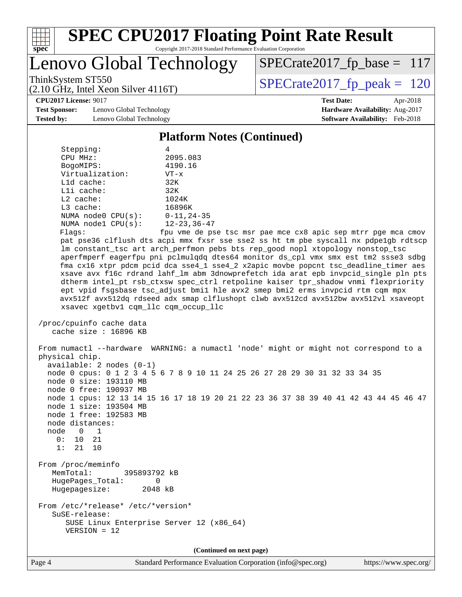

Copyright 2017-2018 Standard Performance Evaluation Corporation

### Lenovo Global Technology

ThinkSystem ST550<br>  $(2.10 \text{ GHz})$  Intel Xeon Silver 4116T) SPECrate 2017\_fp\_peak = 120

[SPECrate2017\\_fp\\_base =](http://www.spec.org/auto/cpu2017/Docs/result-fields.html#SPECrate2017fpbase) 117

### (2.10 GHz, Intel Xeon Silver 4116T)

**[Test Sponsor:](http://www.spec.org/auto/cpu2017/Docs/result-fields.html#TestSponsor)** Lenovo Global Technology **[Hardware Availability:](http://www.spec.org/auto/cpu2017/Docs/result-fields.html#HardwareAvailability)** Aug-2017 [Tested by:](http://www.spec.org/auto/cpu2017/Docs/result-fields.html#Testedby) Lenovo Global Technology **[Software Availability:](http://www.spec.org/auto/cpu2017/Docs/result-fields.html#SoftwareAvailability)** Feb-2018

**[CPU2017 License:](http://www.spec.org/auto/cpu2017/Docs/result-fields.html#CPU2017License)** 9017 **[Test Date:](http://www.spec.org/auto/cpu2017/Docs/result-fields.html#TestDate)** Apr-2018

#### **[Platform Notes \(Continued\)](http://www.spec.org/auto/cpu2017/Docs/result-fields.html#PlatformNotes)**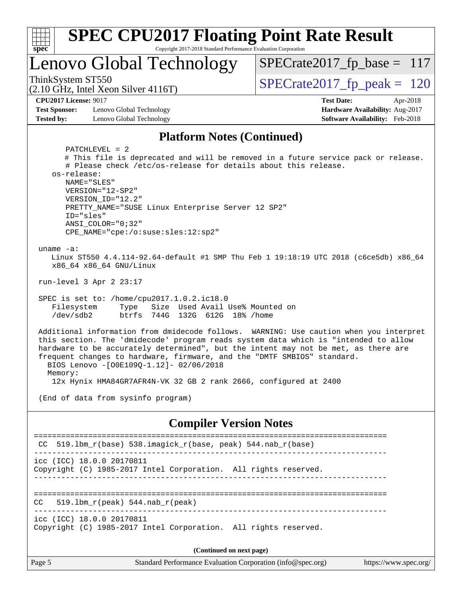| Spec                                                                      | <b>SPEC CPU2017 Floating Point Rate Result</b><br>Copyright 2017-2018 Standard Performance Evaluation Corporation                                                                                                                                                              |                                                                                                                                                                                                                                                                     |
|---------------------------------------------------------------------------|--------------------------------------------------------------------------------------------------------------------------------------------------------------------------------------------------------------------------------------------------------------------------------|---------------------------------------------------------------------------------------------------------------------------------------------------------------------------------------------------------------------------------------------------------------------|
|                                                                           | Lenovo Global Technology                                                                                                                                                                                                                                                       | $SPECrate2017_fp\_base = 117$                                                                                                                                                                                                                                       |
| ThinkSystem ST550                                                         | $(2.10 \text{ GHz}, \text{Intel Xeon Silver } 4116 \text{T})$                                                                                                                                                                                                                  | $SPECrate2017fp peak = 120$                                                                                                                                                                                                                                         |
| <b>CPU2017 License: 9017</b><br><b>Test Sponsor:</b><br><b>Tested by:</b> | Lenovo Global Technology<br>Lenovo Global Technology                                                                                                                                                                                                                           | <b>Test Date:</b><br>Apr-2018<br>Hardware Availability: Aug-2017<br>Software Availability: Feb-2018                                                                                                                                                                 |
|                                                                           | <b>Platform Notes (Continued)</b>                                                                                                                                                                                                                                              |                                                                                                                                                                                                                                                                     |
| os-release:<br>uname $-a$ :                                               | $PATCHLEVEL = 2$<br># Please check /etc/os-release for details about this release.<br>NAME="SLES"<br>VERSION="12-SP2"<br>VERSION ID="12.2"<br>PRETTY_NAME="SUSE Linux Enterprise Server 12 SP2"<br>ID="sles"<br>$ANSI$ _COLOR=" $0:32$ "<br>CPE_NAME="cpe:/o:suse:sles:12:sp2" | # This file is deprecated and will be removed in a future service pack or release.                                                                                                                                                                                  |
|                                                                           | x86_64 x86_64 GNU/Linux<br>run-level 3 Apr 2 23:17                                                                                                                                                                                                                             | Linux ST550 4.4.114-92.64-default #1 SMP Thu Feb 1 19:18:19 UTC 2018 (c6ce5db) x86_64                                                                                                                                                                               |
| Filesystem<br>$/\text{dev/sdb2}$                                          | SPEC is set to: /home/cpu2017.1.0.2.ic18.0<br>Size Used Avail Use% Mounted on<br>Type<br>btrfs 744G 132G 612G 18% / home                                                                                                                                                       |                                                                                                                                                                                                                                                                     |
| Memory:                                                                   | frequent changes to hardware, firmware, and the "DMTF SMBIOS" standard.<br>BIOS Lenovo -[O0E109Q-1.12]- 02/06/2018<br>12x Hynix HMA84GR7AFR4N-VK 32 GB 2 rank 2666, configured at 2400                                                                                         | Additional information from dmidecode follows. WARNING: Use caution when you interpret<br>this section. The 'dmidecode' program reads system data which is "intended to allow<br>hardware to be accurately determined", but the intent may not be met, as there are |
|                                                                           | (End of data from sysinfo program)                                                                                                                                                                                                                                             |                                                                                                                                                                                                                                                                     |
|                                                                           | <b>Compiler Version Notes</b>                                                                                                                                                                                                                                                  |                                                                                                                                                                                                                                                                     |
| CC.                                                                       | 519.1bm_r(base) 538.imagick_r(base, peak) 544.nab_r(base)                                                                                                                                                                                                                      |                                                                                                                                                                                                                                                                     |
|                                                                           | icc (ICC) 18.0.0 20170811<br>Copyright (C) 1985-2017 Intel Corporation. All rights reserved.                                                                                                                                                                                   |                                                                                                                                                                                                                                                                     |
| CC.                                                                       | $519.1bm_r(peak) 544.nab_r(peak)$                                                                                                                                                                                                                                              |                                                                                                                                                                                                                                                                     |
|                                                                           | icc (ICC) 18.0.0 20170811<br>Copyright (C) 1985-2017 Intel Corporation. All rights reserved.                                                                                                                                                                                   |                                                                                                                                                                                                                                                                     |
|                                                                           | (Continued on next page)                                                                                                                                                                                                                                                       |                                                                                                                                                                                                                                                                     |
| Page 5                                                                    | Standard Performance Evaluation Corporation (info@spec.org)                                                                                                                                                                                                                    | https://www.spec.org/                                                                                                                                                                                                                                               |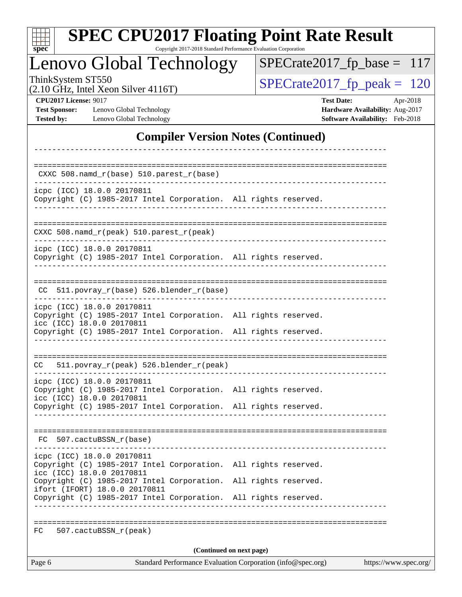| <b>SPEC CPU2017 Floating Point Rate Result</b><br>Copyright 2017-2018 Standard Performance Evaluation Corporation<br>spec <sup>®</sup>                                                        |                                                                                                     |  |  |  |  |  |  |  |
|-----------------------------------------------------------------------------------------------------------------------------------------------------------------------------------------------|-----------------------------------------------------------------------------------------------------|--|--|--|--|--|--|--|
| Lenovo Global Technology                                                                                                                                                                      | $SPECrate2017_fp\_base = 117$                                                                       |  |  |  |  |  |  |  |
| ThinkSystem ST550<br>(2.10 GHz, Intel Xeon Silver 4116T)                                                                                                                                      | $SPECrate2017_fp\_peak = 120$                                                                       |  |  |  |  |  |  |  |
| <b>CPU2017 License: 9017</b><br><b>Test Sponsor:</b><br>Lenovo Global Technology<br><b>Tested by:</b><br>Lenovo Global Technology                                                             | <b>Test Date:</b><br>Apr-2018<br>Hardware Availability: Aug-2017<br>Software Availability: Feb-2018 |  |  |  |  |  |  |  |
| <b>Compiler Version Notes (Continued)</b>                                                                                                                                                     |                                                                                                     |  |  |  |  |  |  |  |
| CXXC 508.namd_r(base) 510.parest_r(base)                                                                                                                                                      |                                                                                                     |  |  |  |  |  |  |  |
| icpc (ICC) 18.0.0 20170811<br>Copyright (C) 1985-2017 Intel Corporation. All rights reserved.                                                                                                 |                                                                                                     |  |  |  |  |  |  |  |
| $CXXC$ 508.namd $r(\text{peak})$ 510.parest $r(\text{peak})$                                                                                                                                  |                                                                                                     |  |  |  |  |  |  |  |
| icpc (ICC) 18.0.0 20170811<br>Copyright (C) 1985-2017 Intel Corporation. All rights reserved.                                                                                                 |                                                                                                     |  |  |  |  |  |  |  |
| CC 511.povray_r(base) 526.blender_r(base)                                                                                                                                                     |                                                                                                     |  |  |  |  |  |  |  |
| icpc (ICC) 18.0.0 20170811<br>Copyright (C) 1985-2017 Intel Corporation. All rights reserved.<br>icc (ICC) 18.0.0 20170811<br>Copyright (C) 1985-2017 Intel Corporation. All rights reserved. |                                                                                                     |  |  |  |  |  |  |  |
| 511.povray_r(peak) 526.blender_r(peak)<br>CC                                                                                                                                                  |                                                                                                     |  |  |  |  |  |  |  |
| icpc (ICC) 18.0.0 20170811<br>Copyright (C) 1985-2017 Intel Corporation. All rights reserved.<br>icc (ICC) 18.0.0 20170811                                                                    |                                                                                                     |  |  |  |  |  |  |  |
| Copyright (C) 1985-2017 Intel Corporation. All rights reserved.                                                                                                                               |                                                                                                     |  |  |  |  |  |  |  |
| FC 507.cactuBSSN r(base)                                                                                                                                                                      |                                                                                                     |  |  |  |  |  |  |  |
| icpc (ICC) 18.0.0 20170811<br>Copyright (C) 1985-2017 Intel Corporation. All rights reserved.<br>icc (ICC) 18.0.0 20170811                                                                    |                                                                                                     |  |  |  |  |  |  |  |
| Copyright (C) 1985-2017 Intel Corporation. All rights reserved.<br>ifort (IFORT) 18.0.0 20170811<br>Copyright (C) 1985-2017 Intel Corporation. All rights reserved.                           |                                                                                                     |  |  |  |  |  |  |  |
| FC.<br>507.cactuBSSN_r(peak)                                                                                                                                                                  |                                                                                                     |  |  |  |  |  |  |  |
| (Continued on next page)                                                                                                                                                                      |                                                                                                     |  |  |  |  |  |  |  |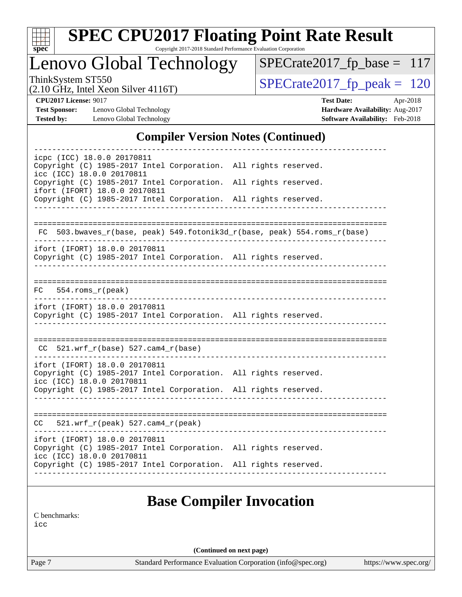

Copyright 2017-2018 Standard Performance Evaluation Corporation

Lenovo Global Technology

ThinkSystem ST550<br>  $(2.10 \text{ GHz})$  Intel Xeon Silver 4116T) SPECrate 2017\_fp\_peak = 120

[SPECrate2017\\_fp\\_base =](http://www.spec.org/auto/cpu2017/Docs/result-fields.html#SPECrate2017fpbase) 117

(2.10 GHz, Intel Xeon Silver 4116T)

**[Test Sponsor:](http://www.spec.org/auto/cpu2017/Docs/result-fields.html#TestSponsor)** Lenovo Global Technology **[Hardware Availability:](http://www.spec.org/auto/cpu2017/Docs/result-fields.html#HardwareAvailability)** Aug-2017 **[Tested by:](http://www.spec.org/auto/cpu2017/Docs/result-fields.html#Testedby)** Lenovo Global Technology **[Software Availability:](http://www.spec.org/auto/cpu2017/Docs/result-fields.html#SoftwareAvailability)** Feb-2018

**[CPU2017 License:](http://www.spec.org/auto/cpu2017/Docs/result-fields.html#CPU2017License)** 9017 **[Test Date:](http://www.spec.org/auto/cpu2017/Docs/result-fields.html#TestDate)** Apr-2018

#### **[Compiler Version Notes \(Continued\)](http://www.spec.org/auto/cpu2017/Docs/result-fields.html#CompilerVersionNotes)**

| icpc (ICC) 18.0.0 20170811<br>Copyright (C) 1985-2017 Intel Corporation. All rights reserved.<br>icc (ICC) 18.0.0 20170811    |                                                                          |
|-------------------------------------------------------------------------------------------------------------------------------|--------------------------------------------------------------------------|
| Copyright (C) 1985-2017 Intel Corporation. All rights reserved.<br>ifort (IFORT) 18.0.0 20170811                              |                                                                          |
| Copyright (C) 1985-2017 Intel Corporation. All rights reserved.                                                               |                                                                          |
|                                                                                                                               |                                                                          |
|                                                                                                                               | FC 503.bwaves_r(base, peak) 549.fotonik3d_r(base, peak) 554.roms_r(base) |
| ifort (IFORT) 18.0.0 20170811<br>Copyright (C) 1985-2017 Intel Corporation. All rights reserved.                              |                                                                          |
| $FC$ 554. roms $r$ (peak)                                                                                                     |                                                                          |
| ifort (IFORT) 18.0.0 20170811<br>Copyright (C) 1985-2017 Intel Corporation. All rights reserved.                              |                                                                          |
| $CC$ 521.wrf_ $r(base)$ 527.cam4_ $r(base)$                                                                                   |                                                                          |
| ifort (IFORT) 18.0.0 20170811<br>Copyright (C) 1985-2017 Intel Corporation. All rights reserved.<br>icc (ICC) 18.0.0 20170811 |                                                                          |
| Copyright (C) 1985-2017 Intel Corporation. All rights reserved.                                                               |                                                                          |
| $CC = 521.wrf_r(peak) 527.cam4_r(peak)$                                                                                       |                                                                          |
| ifort (IFORT) 18.0.0 20170811                                                                                                 | Copyright (C) 1985-2017 Intel Corporation. All rights reserved.          |
| icc (ICC) 18.0.0 20170811                                                                                                     |                                                                          |

#### **[Base Compiler Invocation](http://www.spec.org/auto/cpu2017/Docs/result-fields.html#BaseCompilerInvocation)**

[C benchmarks](http://www.spec.org/auto/cpu2017/Docs/result-fields.html#Cbenchmarks):

[icc](http://www.spec.org/cpu2017/results/res2018q2/cpu2017-20180525-05802.flags.html#user_CCbase_intel_icc_18.0_66fc1ee009f7361af1fbd72ca7dcefbb700085f36577c54f309893dd4ec40d12360134090235512931783d35fd58c0460139e722d5067c5574d8eaf2b3e37e92)

**(Continued on next page)**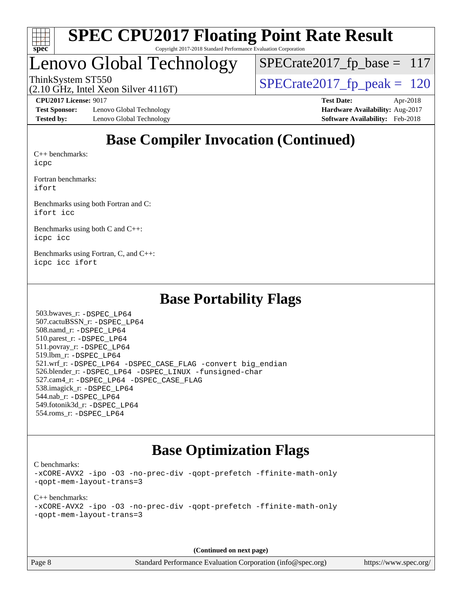

## Lenovo Global Technology

ThinkSystem ST550<br>(2.10 GHz, Intel Xeon Silver 4116T)  $\begin{array}{|l|l|}\n\hline\n\text{SPECrate2017\_fp\_peak} = 120\n\end{array}$  $SPECrate2017_fp\_base = 117$ 

(2.10 GHz, Intel Xeon Silver 4116T)

**[Test Sponsor:](http://www.spec.org/auto/cpu2017/Docs/result-fields.html#TestSponsor)** Lenovo Global Technology **[Hardware Availability:](http://www.spec.org/auto/cpu2017/Docs/result-fields.html#HardwareAvailability)** Aug-2017 [Tested by:](http://www.spec.org/auto/cpu2017/Docs/result-fields.html#Testedby) Lenovo Global Technology **[Software Availability:](http://www.spec.org/auto/cpu2017/Docs/result-fields.html#SoftwareAvailability)** Feb-2018

**[CPU2017 License:](http://www.spec.org/auto/cpu2017/Docs/result-fields.html#CPU2017License)** 9017 **[Test Date:](http://www.spec.org/auto/cpu2017/Docs/result-fields.html#TestDate)** Apr-2018

### **[Base Compiler Invocation \(Continued\)](http://www.spec.org/auto/cpu2017/Docs/result-fields.html#BaseCompilerInvocation)**

[C++ benchmarks:](http://www.spec.org/auto/cpu2017/Docs/result-fields.html#CXXbenchmarks) [icpc](http://www.spec.org/cpu2017/results/res2018q2/cpu2017-20180525-05802.flags.html#user_CXXbase_intel_icpc_18.0_c510b6838c7f56d33e37e94d029a35b4a7bccf4766a728ee175e80a419847e808290a9b78be685c44ab727ea267ec2f070ec5dc83b407c0218cded6866a35d07)

[Fortran benchmarks](http://www.spec.org/auto/cpu2017/Docs/result-fields.html#Fortranbenchmarks): [ifort](http://www.spec.org/cpu2017/results/res2018q2/cpu2017-20180525-05802.flags.html#user_FCbase_intel_ifort_18.0_8111460550e3ca792625aed983ce982f94888b8b503583aa7ba2b8303487b4d8a21a13e7191a45c5fd58ff318f48f9492884d4413fa793fd88dd292cad7027ca)

[Benchmarks using both Fortran and C](http://www.spec.org/auto/cpu2017/Docs/result-fields.html#BenchmarksusingbothFortranandC): [ifort](http://www.spec.org/cpu2017/results/res2018q2/cpu2017-20180525-05802.flags.html#user_CC_FCbase_intel_ifort_18.0_8111460550e3ca792625aed983ce982f94888b8b503583aa7ba2b8303487b4d8a21a13e7191a45c5fd58ff318f48f9492884d4413fa793fd88dd292cad7027ca) [icc](http://www.spec.org/cpu2017/results/res2018q2/cpu2017-20180525-05802.flags.html#user_CC_FCbase_intel_icc_18.0_66fc1ee009f7361af1fbd72ca7dcefbb700085f36577c54f309893dd4ec40d12360134090235512931783d35fd58c0460139e722d5067c5574d8eaf2b3e37e92)

[Benchmarks using both C and C++](http://www.spec.org/auto/cpu2017/Docs/result-fields.html#BenchmarksusingbothCandCXX): [icpc](http://www.spec.org/cpu2017/results/res2018q2/cpu2017-20180525-05802.flags.html#user_CC_CXXbase_intel_icpc_18.0_c510b6838c7f56d33e37e94d029a35b4a7bccf4766a728ee175e80a419847e808290a9b78be685c44ab727ea267ec2f070ec5dc83b407c0218cded6866a35d07) [icc](http://www.spec.org/cpu2017/results/res2018q2/cpu2017-20180525-05802.flags.html#user_CC_CXXbase_intel_icc_18.0_66fc1ee009f7361af1fbd72ca7dcefbb700085f36577c54f309893dd4ec40d12360134090235512931783d35fd58c0460139e722d5067c5574d8eaf2b3e37e92)

[Benchmarks using Fortran, C, and C++:](http://www.spec.org/auto/cpu2017/Docs/result-fields.html#BenchmarksusingFortranCandCXX) [icpc](http://www.spec.org/cpu2017/results/res2018q2/cpu2017-20180525-05802.flags.html#user_CC_CXX_FCbase_intel_icpc_18.0_c510b6838c7f56d33e37e94d029a35b4a7bccf4766a728ee175e80a419847e808290a9b78be685c44ab727ea267ec2f070ec5dc83b407c0218cded6866a35d07) [icc](http://www.spec.org/cpu2017/results/res2018q2/cpu2017-20180525-05802.flags.html#user_CC_CXX_FCbase_intel_icc_18.0_66fc1ee009f7361af1fbd72ca7dcefbb700085f36577c54f309893dd4ec40d12360134090235512931783d35fd58c0460139e722d5067c5574d8eaf2b3e37e92) [ifort](http://www.spec.org/cpu2017/results/res2018q2/cpu2017-20180525-05802.flags.html#user_CC_CXX_FCbase_intel_ifort_18.0_8111460550e3ca792625aed983ce982f94888b8b503583aa7ba2b8303487b4d8a21a13e7191a45c5fd58ff318f48f9492884d4413fa793fd88dd292cad7027ca)

#### **[Base Portability Flags](http://www.spec.org/auto/cpu2017/Docs/result-fields.html#BasePortabilityFlags)**

 503.bwaves\_r: [-DSPEC\\_LP64](http://www.spec.org/cpu2017/results/res2018q2/cpu2017-20180525-05802.flags.html#suite_basePORTABILITY503_bwaves_r_DSPEC_LP64) 507.cactuBSSN\_r: [-DSPEC\\_LP64](http://www.spec.org/cpu2017/results/res2018q2/cpu2017-20180525-05802.flags.html#suite_basePORTABILITY507_cactuBSSN_r_DSPEC_LP64) 508.namd\_r: [-DSPEC\\_LP64](http://www.spec.org/cpu2017/results/res2018q2/cpu2017-20180525-05802.flags.html#suite_basePORTABILITY508_namd_r_DSPEC_LP64) 510.parest\_r: [-DSPEC\\_LP64](http://www.spec.org/cpu2017/results/res2018q2/cpu2017-20180525-05802.flags.html#suite_basePORTABILITY510_parest_r_DSPEC_LP64) 511.povray\_r: [-DSPEC\\_LP64](http://www.spec.org/cpu2017/results/res2018q2/cpu2017-20180525-05802.flags.html#suite_basePORTABILITY511_povray_r_DSPEC_LP64) 519.lbm\_r: [-DSPEC\\_LP64](http://www.spec.org/cpu2017/results/res2018q2/cpu2017-20180525-05802.flags.html#suite_basePORTABILITY519_lbm_r_DSPEC_LP64) 521.wrf\_r: [-DSPEC\\_LP64](http://www.spec.org/cpu2017/results/res2018q2/cpu2017-20180525-05802.flags.html#suite_basePORTABILITY521_wrf_r_DSPEC_LP64) [-DSPEC\\_CASE\\_FLAG](http://www.spec.org/cpu2017/results/res2018q2/cpu2017-20180525-05802.flags.html#b521.wrf_r_baseCPORTABILITY_DSPEC_CASE_FLAG) [-convert big\\_endian](http://www.spec.org/cpu2017/results/res2018q2/cpu2017-20180525-05802.flags.html#user_baseFPORTABILITY521_wrf_r_convert_big_endian_c3194028bc08c63ac5d04de18c48ce6d347e4e562e8892b8bdbdc0214820426deb8554edfa529a3fb25a586e65a3d812c835984020483e7e73212c4d31a38223) 526.blender\_r: [-DSPEC\\_LP64](http://www.spec.org/cpu2017/results/res2018q2/cpu2017-20180525-05802.flags.html#suite_basePORTABILITY526_blender_r_DSPEC_LP64) [-DSPEC\\_LINUX](http://www.spec.org/cpu2017/results/res2018q2/cpu2017-20180525-05802.flags.html#b526.blender_r_baseCPORTABILITY_DSPEC_LINUX) [-funsigned-char](http://www.spec.org/cpu2017/results/res2018q2/cpu2017-20180525-05802.flags.html#user_baseCPORTABILITY526_blender_r_force_uchar_40c60f00ab013830e2dd6774aeded3ff59883ba5a1fc5fc14077f794d777847726e2a5858cbc7672e36e1b067e7e5c1d9a74f7176df07886a243d7cc18edfe67) 527.cam4\_r: [-DSPEC\\_LP64](http://www.spec.org/cpu2017/results/res2018q2/cpu2017-20180525-05802.flags.html#suite_basePORTABILITY527_cam4_r_DSPEC_LP64) [-DSPEC\\_CASE\\_FLAG](http://www.spec.org/cpu2017/results/res2018q2/cpu2017-20180525-05802.flags.html#b527.cam4_r_baseCPORTABILITY_DSPEC_CASE_FLAG) 538.imagick\_r: [-DSPEC\\_LP64](http://www.spec.org/cpu2017/results/res2018q2/cpu2017-20180525-05802.flags.html#suite_basePORTABILITY538_imagick_r_DSPEC_LP64) 544.nab\_r: [-DSPEC\\_LP64](http://www.spec.org/cpu2017/results/res2018q2/cpu2017-20180525-05802.flags.html#suite_basePORTABILITY544_nab_r_DSPEC_LP64) 549.fotonik3d\_r: [-DSPEC\\_LP64](http://www.spec.org/cpu2017/results/res2018q2/cpu2017-20180525-05802.flags.html#suite_basePORTABILITY549_fotonik3d_r_DSPEC_LP64) 554.roms\_r: [-DSPEC\\_LP64](http://www.spec.org/cpu2017/results/res2018q2/cpu2017-20180525-05802.flags.html#suite_basePORTABILITY554_roms_r_DSPEC_LP64)

#### **[Base Optimization Flags](http://www.spec.org/auto/cpu2017/Docs/result-fields.html#BaseOptimizationFlags)**

[C benchmarks](http://www.spec.org/auto/cpu2017/Docs/result-fields.html#Cbenchmarks):

[-xCORE-AVX2](http://www.spec.org/cpu2017/results/res2018q2/cpu2017-20180525-05802.flags.html#user_CCbase_f-xCORE-AVX2) [-ipo](http://www.spec.org/cpu2017/results/res2018q2/cpu2017-20180525-05802.flags.html#user_CCbase_f-ipo) [-O3](http://www.spec.org/cpu2017/results/res2018q2/cpu2017-20180525-05802.flags.html#user_CCbase_f-O3) [-no-prec-div](http://www.spec.org/cpu2017/results/res2018q2/cpu2017-20180525-05802.flags.html#user_CCbase_f-no-prec-div) [-qopt-prefetch](http://www.spec.org/cpu2017/results/res2018q2/cpu2017-20180525-05802.flags.html#user_CCbase_f-qopt-prefetch) [-ffinite-math-only](http://www.spec.org/cpu2017/results/res2018q2/cpu2017-20180525-05802.flags.html#user_CCbase_f_finite_math_only_cb91587bd2077682c4b38af759c288ed7c732db004271a9512da14a4f8007909a5f1427ecbf1a0fb78ff2a814402c6114ac565ca162485bbcae155b5e4258871) [-qopt-mem-layout-trans=3](http://www.spec.org/cpu2017/results/res2018q2/cpu2017-20180525-05802.flags.html#user_CCbase_f-qopt-mem-layout-trans_de80db37974c74b1f0e20d883f0b675c88c3b01e9d123adea9b28688d64333345fb62bc4a798493513fdb68f60282f9a726aa07f478b2f7113531aecce732043)

[C++ benchmarks:](http://www.spec.org/auto/cpu2017/Docs/result-fields.html#CXXbenchmarks) [-xCORE-AVX2](http://www.spec.org/cpu2017/results/res2018q2/cpu2017-20180525-05802.flags.html#user_CXXbase_f-xCORE-AVX2) [-ipo](http://www.spec.org/cpu2017/results/res2018q2/cpu2017-20180525-05802.flags.html#user_CXXbase_f-ipo) [-O3](http://www.spec.org/cpu2017/results/res2018q2/cpu2017-20180525-05802.flags.html#user_CXXbase_f-O3) [-no-prec-div](http://www.spec.org/cpu2017/results/res2018q2/cpu2017-20180525-05802.flags.html#user_CXXbase_f-no-prec-div) [-qopt-prefetch](http://www.spec.org/cpu2017/results/res2018q2/cpu2017-20180525-05802.flags.html#user_CXXbase_f-qopt-prefetch) [-ffinite-math-only](http://www.spec.org/cpu2017/results/res2018q2/cpu2017-20180525-05802.flags.html#user_CXXbase_f_finite_math_only_cb91587bd2077682c4b38af759c288ed7c732db004271a9512da14a4f8007909a5f1427ecbf1a0fb78ff2a814402c6114ac565ca162485bbcae155b5e4258871) [-qopt-mem-layout-trans=3](http://www.spec.org/cpu2017/results/res2018q2/cpu2017-20180525-05802.flags.html#user_CXXbase_f-qopt-mem-layout-trans_de80db37974c74b1f0e20d883f0b675c88c3b01e9d123adea9b28688d64333345fb62bc4a798493513fdb68f60282f9a726aa07f478b2f7113531aecce732043)

**(Continued on next page)**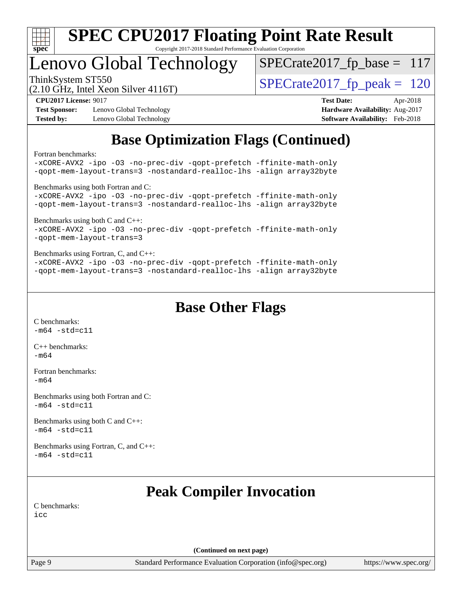

## Lenovo Global Technology

ThinkSystem ST550<br>(2.10 GHz, Intel Xeon Silver 4116T)  $\begin{array}{|l|l|}\n\hline\n\text{SPECrate2017\_fp\_peak} = 120\n\end{array}$  $SPECrate2017_fp\_base = 117$ 

(2.10 GHz, Intel Xeon Silver 4116T)

**[Test Sponsor:](http://www.spec.org/auto/cpu2017/Docs/result-fields.html#TestSponsor)** Lenovo Global Technology **[Hardware Availability:](http://www.spec.org/auto/cpu2017/Docs/result-fields.html#HardwareAvailability)** Aug-2017 [Tested by:](http://www.spec.org/auto/cpu2017/Docs/result-fields.html#Testedby) Lenovo Global Technology **[Software Availability:](http://www.spec.org/auto/cpu2017/Docs/result-fields.html#SoftwareAvailability)** Feb-2018

**[CPU2017 License:](http://www.spec.org/auto/cpu2017/Docs/result-fields.html#CPU2017License)** 9017 **[Test Date:](http://www.spec.org/auto/cpu2017/Docs/result-fields.html#TestDate)** Apr-2018

### **[Base Optimization Flags \(Continued\)](http://www.spec.org/auto/cpu2017/Docs/result-fields.html#BaseOptimizationFlags)**

[Fortran benchmarks](http://www.spec.org/auto/cpu2017/Docs/result-fields.html#Fortranbenchmarks):

[-xCORE-AVX2](http://www.spec.org/cpu2017/results/res2018q2/cpu2017-20180525-05802.flags.html#user_FCbase_f-xCORE-AVX2) [-ipo](http://www.spec.org/cpu2017/results/res2018q2/cpu2017-20180525-05802.flags.html#user_FCbase_f-ipo) [-O3](http://www.spec.org/cpu2017/results/res2018q2/cpu2017-20180525-05802.flags.html#user_FCbase_f-O3) [-no-prec-div](http://www.spec.org/cpu2017/results/res2018q2/cpu2017-20180525-05802.flags.html#user_FCbase_f-no-prec-div) [-qopt-prefetch](http://www.spec.org/cpu2017/results/res2018q2/cpu2017-20180525-05802.flags.html#user_FCbase_f-qopt-prefetch) [-ffinite-math-only](http://www.spec.org/cpu2017/results/res2018q2/cpu2017-20180525-05802.flags.html#user_FCbase_f_finite_math_only_cb91587bd2077682c4b38af759c288ed7c732db004271a9512da14a4f8007909a5f1427ecbf1a0fb78ff2a814402c6114ac565ca162485bbcae155b5e4258871) [-qopt-mem-layout-trans=3](http://www.spec.org/cpu2017/results/res2018q2/cpu2017-20180525-05802.flags.html#user_FCbase_f-qopt-mem-layout-trans_de80db37974c74b1f0e20d883f0b675c88c3b01e9d123adea9b28688d64333345fb62bc4a798493513fdb68f60282f9a726aa07f478b2f7113531aecce732043) [-nostandard-realloc-lhs](http://www.spec.org/cpu2017/results/res2018q2/cpu2017-20180525-05802.flags.html#user_FCbase_f_2003_std_realloc_82b4557e90729c0f113870c07e44d33d6f5a304b4f63d4c15d2d0f1fab99f5daaed73bdb9275d9ae411527f28b936061aa8b9c8f2d63842963b95c9dd6426b8a) [-align array32byte](http://www.spec.org/cpu2017/results/res2018q2/cpu2017-20180525-05802.flags.html#user_FCbase_align_array32byte_b982fe038af199962ba9a80c053b8342c548c85b40b8e86eb3cc33dee0d7986a4af373ac2d51c3f7cf710a18d62fdce2948f201cd044323541f22fc0fffc51b6) [Benchmarks using both Fortran and C](http://www.spec.org/auto/cpu2017/Docs/result-fields.html#BenchmarksusingbothFortranandC): [-xCORE-AVX2](http://www.spec.org/cpu2017/results/res2018q2/cpu2017-20180525-05802.flags.html#user_CC_FCbase_f-xCORE-AVX2) [-ipo](http://www.spec.org/cpu2017/results/res2018q2/cpu2017-20180525-05802.flags.html#user_CC_FCbase_f-ipo) [-O3](http://www.spec.org/cpu2017/results/res2018q2/cpu2017-20180525-05802.flags.html#user_CC_FCbase_f-O3) [-no-prec-div](http://www.spec.org/cpu2017/results/res2018q2/cpu2017-20180525-05802.flags.html#user_CC_FCbase_f-no-prec-div) [-qopt-prefetch](http://www.spec.org/cpu2017/results/res2018q2/cpu2017-20180525-05802.flags.html#user_CC_FCbase_f-qopt-prefetch) [-ffinite-math-only](http://www.spec.org/cpu2017/results/res2018q2/cpu2017-20180525-05802.flags.html#user_CC_FCbase_f_finite_math_only_cb91587bd2077682c4b38af759c288ed7c732db004271a9512da14a4f8007909a5f1427ecbf1a0fb78ff2a814402c6114ac565ca162485bbcae155b5e4258871) [-qopt-mem-layout-trans=3](http://www.spec.org/cpu2017/results/res2018q2/cpu2017-20180525-05802.flags.html#user_CC_FCbase_f-qopt-mem-layout-trans_de80db37974c74b1f0e20d883f0b675c88c3b01e9d123adea9b28688d64333345fb62bc4a798493513fdb68f60282f9a726aa07f478b2f7113531aecce732043) [-nostandard-realloc-lhs](http://www.spec.org/cpu2017/results/res2018q2/cpu2017-20180525-05802.flags.html#user_CC_FCbase_f_2003_std_realloc_82b4557e90729c0f113870c07e44d33d6f5a304b4f63d4c15d2d0f1fab99f5daaed73bdb9275d9ae411527f28b936061aa8b9c8f2d63842963b95c9dd6426b8a) [-align array32byte](http://www.spec.org/cpu2017/results/res2018q2/cpu2017-20180525-05802.flags.html#user_CC_FCbase_align_array32byte_b982fe038af199962ba9a80c053b8342c548c85b40b8e86eb3cc33dee0d7986a4af373ac2d51c3f7cf710a18d62fdce2948f201cd044323541f22fc0fffc51b6) [Benchmarks using both C and C++](http://www.spec.org/auto/cpu2017/Docs/result-fields.html#BenchmarksusingbothCandCXX): [-xCORE-AVX2](http://www.spec.org/cpu2017/results/res2018q2/cpu2017-20180525-05802.flags.html#user_CC_CXXbase_f-xCORE-AVX2) [-ipo](http://www.spec.org/cpu2017/results/res2018q2/cpu2017-20180525-05802.flags.html#user_CC_CXXbase_f-ipo) [-O3](http://www.spec.org/cpu2017/results/res2018q2/cpu2017-20180525-05802.flags.html#user_CC_CXXbase_f-O3) [-no-prec-div](http://www.spec.org/cpu2017/results/res2018q2/cpu2017-20180525-05802.flags.html#user_CC_CXXbase_f-no-prec-div) [-qopt-prefetch](http://www.spec.org/cpu2017/results/res2018q2/cpu2017-20180525-05802.flags.html#user_CC_CXXbase_f-qopt-prefetch) [-ffinite-math-only](http://www.spec.org/cpu2017/results/res2018q2/cpu2017-20180525-05802.flags.html#user_CC_CXXbase_f_finite_math_only_cb91587bd2077682c4b38af759c288ed7c732db004271a9512da14a4f8007909a5f1427ecbf1a0fb78ff2a814402c6114ac565ca162485bbcae155b5e4258871) [-qopt-mem-layout-trans=3](http://www.spec.org/cpu2017/results/res2018q2/cpu2017-20180525-05802.flags.html#user_CC_CXXbase_f-qopt-mem-layout-trans_de80db37974c74b1f0e20d883f0b675c88c3b01e9d123adea9b28688d64333345fb62bc4a798493513fdb68f60282f9a726aa07f478b2f7113531aecce732043) [Benchmarks using Fortran, C, and C++:](http://www.spec.org/auto/cpu2017/Docs/result-fields.html#BenchmarksusingFortranCandCXX) [-xCORE-AVX2](http://www.spec.org/cpu2017/results/res2018q2/cpu2017-20180525-05802.flags.html#user_CC_CXX_FCbase_f-xCORE-AVX2) [-ipo](http://www.spec.org/cpu2017/results/res2018q2/cpu2017-20180525-05802.flags.html#user_CC_CXX_FCbase_f-ipo) [-O3](http://www.spec.org/cpu2017/results/res2018q2/cpu2017-20180525-05802.flags.html#user_CC_CXX_FCbase_f-O3) [-no-prec-div](http://www.spec.org/cpu2017/results/res2018q2/cpu2017-20180525-05802.flags.html#user_CC_CXX_FCbase_f-no-prec-div) [-qopt-prefetch](http://www.spec.org/cpu2017/results/res2018q2/cpu2017-20180525-05802.flags.html#user_CC_CXX_FCbase_f-qopt-prefetch) [-ffinite-math-only](http://www.spec.org/cpu2017/results/res2018q2/cpu2017-20180525-05802.flags.html#user_CC_CXX_FCbase_f_finite_math_only_cb91587bd2077682c4b38af759c288ed7c732db004271a9512da14a4f8007909a5f1427ecbf1a0fb78ff2a814402c6114ac565ca162485bbcae155b5e4258871) [-qopt-mem-layout-trans=3](http://www.spec.org/cpu2017/results/res2018q2/cpu2017-20180525-05802.flags.html#user_CC_CXX_FCbase_f-qopt-mem-layout-trans_de80db37974c74b1f0e20d883f0b675c88c3b01e9d123adea9b28688d64333345fb62bc4a798493513fdb68f60282f9a726aa07f478b2f7113531aecce732043) [-nostandard-realloc-lhs](http://www.spec.org/cpu2017/results/res2018q2/cpu2017-20180525-05802.flags.html#user_CC_CXX_FCbase_f_2003_std_realloc_82b4557e90729c0f113870c07e44d33d6f5a304b4f63d4c15d2d0f1fab99f5daaed73bdb9275d9ae411527f28b936061aa8b9c8f2d63842963b95c9dd6426b8a) [-align array32byte](http://www.spec.org/cpu2017/results/res2018q2/cpu2017-20180525-05802.flags.html#user_CC_CXX_FCbase_align_array32byte_b982fe038af199962ba9a80c053b8342c548c85b40b8e86eb3cc33dee0d7986a4af373ac2d51c3f7cf710a18d62fdce2948f201cd044323541f22fc0fffc51b6)

**[Base Other Flags](http://www.spec.org/auto/cpu2017/Docs/result-fields.html#BaseOtherFlags)**

[C benchmarks](http://www.spec.org/auto/cpu2017/Docs/result-fields.html#Cbenchmarks):  $-m64 - std= c11$  $-m64 - std= c11$ 

[C++ benchmarks:](http://www.spec.org/auto/cpu2017/Docs/result-fields.html#CXXbenchmarks) [-m64](http://www.spec.org/cpu2017/results/res2018q2/cpu2017-20180525-05802.flags.html#user_CXXbase_intel_intel64_18.0_af43caccfc8ded86e7699f2159af6efc7655f51387b94da716254467f3c01020a5059329e2569e4053f409e7c9202a7efc638f7a6d1ffb3f52dea4a3e31d82ab)

[Fortran benchmarks](http://www.spec.org/auto/cpu2017/Docs/result-fields.html#Fortranbenchmarks): [-m64](http://www.spec.org/cpu2017/results/res2018q2/cpu2017-20180525-05802.flags.html#user_FCbase_intel_intel64_18.0_af43caccfc8ded86e7699f2159af6efc7655f51387b94da716254467f3c01020a5059329e2569e4053f409e7c9202a7efc638f7a6d1ffb3f52dea4a3e31d82ab)

[Benchmarks using both Fortran and C](http://www.spec.org/auto/cpu2017/Docs/result-fields.html#BenchmarksusingbothFortranandC):  $-m64$   $-std=cl1$ 

[Benchmarks using both C and C++](http://www.spec.org/auto/cpu2017/Docs/result-fields.html#BenchmarksusingbothCandCXX):  $-m64 - std= c11$  $-m64 - std= c11$ 

[Benchmarks using Fortran, C, and C++:](http://www.spec.org/auto/cpu2017/Docs/result-fields.html#BenchmarksusingFortranCandCXX)  $-m64 - std= c11$  $-m64 - std= c11$ 

### **[Peak Compiler Invocation](http://www.spec.org/auto/cpu2017/Docs/result-fields.html#PeakCompilerInvocation)**

[C benchmarks](http://www.spec.org/auto/cpu2017/Docs/result-fields.html#Cbenchmarks): [icc](http://www.spec.org/cpu2017/results/res2018q2/cpu2017-20180525-05802.flags.html#user_CCpeak_intel_icc_18.0_66fc1ee009f7361af1fbd72ca7dcefbb700085f36577c54f309893dd4ec40d12360134090235512931783d35fd58c0460139e722d5067c5574d8eaf2b3e37e92)

**(Continued on next page)**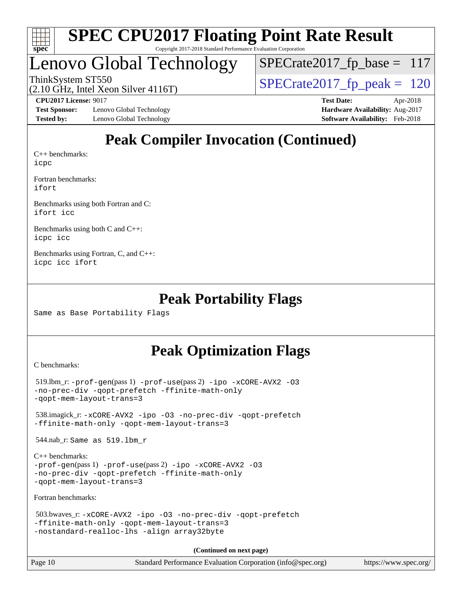

### Lenovo Global Technology

ThinkSystem ST550<br>(2.10 GHz, Intel Xeon Silver 4116T)  $\begin{array}{|l|l|}\n\hline\n\text{SPECrate2017\_fp\_peak} = 120\n\end{array}$  $SPECrate2017_fp\_base = 117$ 

(2.10 GHz, Intel Xeon Silver 4116T)

**[Test Sponsor:](http://www.spec.org/auto/cpu2017/Docs/result-fields.html#TestSponsor)** Lenovo Global Technology **[Hardware Availability:](http://www.spec.org/auto/cpu2017/Docs/result-fields.html#HardwareAvailability)** Aug-2017 [Tested by:](http://www.spec.org/auto/cpu2017/Docs/result-fields.html#Testedby) Lenovo Global Technology **[Software Availability:](http://www.spec.org/auto/cpu2017/Docs/result-fields.html#SoftwareAvailability)** Feb-2018

**[CPU2017 License:](http://www.spec.org/auto/cpu2017/Docs/result-fields.html#CPU2017License)** 9017 **[Test Date:](http://www.spec.org/auto/cpu2017/Docs/result-fields.html#TestDate)** Apr-2018

### **[Peak Compiler Invocation \(Continued\)](http://www.spec.org/auto/cpu2017/Docs/result-fields.html#PeakCompilerInvocation)**

[C++ benchmarks:](http://www.spec.org/auto/cpu2017/Docs/result-fields.html#CXXbenchmarks) [icpc](http://www.spec.org/cpu2017/results/res2018q2/cpu2017-20180525-05802.flags.html#user_CXXpeak_intel_icpc_18.0_c510b6838c7f56d33e37e94d029a35b4a7bccf4766a728ee175e80a419847e808290a9b78be685c44ab727ea267ec2f070ec5dc83b407c0218cded6866a35d07)

[Fortran benchmarks](http://www.spec.org/auto/cpu2017/Docs/result-fields.html#Fortranbenchmarks): [ifort](http://www.spec.org/cpu2017/results/res2018q2/cpu2017-20180525-05802.flags.html#user_FCpeak_intel_ifort_18.0_8111460550e3ca792625aed983ce982f94888b8b503583aa7ba2b8303487b4d8a21a13e7191a45c5fd58ff318f48f9492884d4413fa793fd88dd292cad7027ca)

[Benchmarks using both Fortran and C](http://www.spec.org/auto/cpu2017/Docs/result-fields.html#BenchmarksusingbothFortranandC): [ifort](http://www.spec.org/cpu2017/results/res2018q2/cpu2017-20180525-05802.flags.html#user_CC_FCpeak_intel_ifort_18.0_8111460550e3ca792625aed983ce982f94888b8b503583aa7ba2b8303487b4d8a21a13e7191a45c5fd58ff318f48f9492884d4413fa793fd88dd292cad7027ca) [icc](http://www.spec.org/cpu2017/results/res2018q2/cpu2017-20180525-05802.flags.html#user_CC_FCpeak_intel_icc_18.0_66fc1ee009f7361af1fbd72ca7dcefbb700085f36577c54f309893dd4ec40d12360134090235512931783d35fd58c0460139e722d5067c5574d8eaf2b3e37e92)

[Benchmarks using both C and C++](http://www.spec.org/auto/cpu2017/Docs/result-fields.html#BenchmarksusingbothCandCXX): [icpc](http://www.spec.org/cpu2017/results/res2018q2/cpu2017-20180525-05802.flags.html#user_CC_CXXpeak_intel_icpc_18.0_c510b6838c7f56d33e37e94d029a35b4a7bccf4766a728ee175e80a419847e808290a9b78be685c44ab727ea267ec2f070ec5dc83b407c0218cded6866a35d07) [icc](http://www.spec.org/cpu2017/results/res2018q2/cpu2017-20180525-05802.flags.html#user_CC_CXXpeak_intel_icc_18.0_66fc1ee009f7361af1fbd72ca7dcefbb700085f36577c54f309893dd4ec40d12360134090235512931783d35fd58c0460139e722d5067c5574d8eaf2b3e37e92)

[Benchmarks using Fortran, C, and C++:](http://www.spec.org/auto/cpu2017/Docs/result-fields.html#BenchmarksusingFortranCandCXX) [icpc](http://www.spec.org/cpu2017/results/res2018q2/cpu2017-20180525-05802.flags.html#user_CC_CXX_FCpeak_intel_icpc_18.0_c510b6838c7f56d33e37e94d029a35b4a7bccf4766a728ee175e80a419847e808290a9b78be685c44ab727ea267ec2f070ec5dc83b407c0218cded6866a35d07) [icc](http://www.spec.org/cpu2017/results/res2018q2/cpu2017-20180525-05802.flags.html#user_CC_CXX_FCpeak_intel_icc_18.0_66fc1ee009f7361af1fbd72ca7dcefbb700085f36577c54f309893dd4ec40d12360134090235512931783d35fd58c0460139e722d5067c5574d8eaf2b3e37e92) [ifort](http://www.spec.org/cpu2017/results/res2018q2/cpu2017-20180525-05802.flags.html#user_CC_CXX_FCpeak_intel_ifort_18.0_8111460550e3ca792625aed983ce982f94888b8b503583aa7ba2b8303487b4d8a21a13e7191a45c5fd58ff318f48f9492884d4413fa793fd88dd292cad7027ca)

#### **[Peak Portability Flags](http://www.spec.org/auto/cpu2017/Docs/result-fields.html#PeakPortabilityFlags)**

Same as Base Portability Flags

#### **[Peak Optimization Flags](http://www.spec.org/auto/cpu2017/Docs/result-fields.html#PeakOptimizationFlags)**

[C benchmarks](http://www.spec.org/auto/cpu2017/Docs/result-fields.html#Cbenchmarks):

```
519.lbm_r: -ipo -\text{xCORE-AVX2} -03-no-prec-div -qopt-prefetch -ffinite-math-only
-qopt-mem-layout-trans=3
 538.imagick_r: -xCORE-AVX2 -ipo -O3 -no-prec-div -qopt-prefetch
-ffinite-math-only -qopt-mem-layout-trans=3
 544.nab_r: Same as 519.lbm_r
C++ benchmarks: 
-prof-gen(pass 1) -prof-use(pass 2) -ipo -xCORE-AVX2 -O3
-no-prec-div -qopt-prefetch -ffinite-math-only
-qopt-mem-layout-trans=3
Fortran benchmarks: 
 503.bwaves_r: -xCORE-AVX2 -ipo -O3 -no-prec-div -qopt-prefetch
-ffinite-math-only -qopt-mem-layout-trans=3
-nostandard-realloc-lhs -align array32byte
                                    (Continued on next page)
```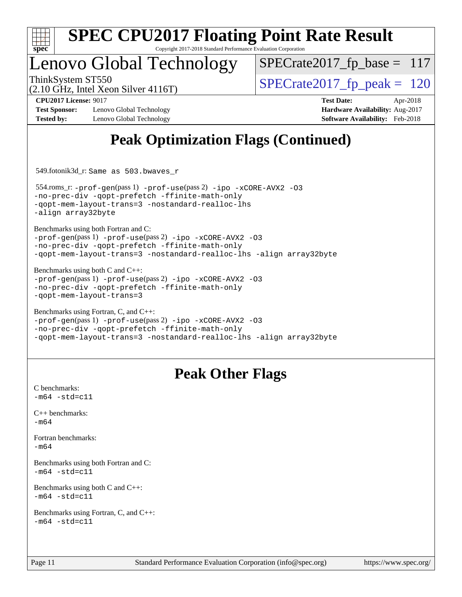

Copyright 2017-2018 Standard Performance Evaluation Corporation

### Lenovo Global Technology

 $SPECrate2017_fp\_base = 117$ 

(2.10 GHz, Intel Xeon Silver 4116T)

ThinkSystem ST550<br>  $\frac{120}{(2.10 \text{ GHz})}$  [SPECrate2017\\_fp\\_peak =](http://www.spec.org/auto/cpu2017/Docs/result-fields.html#SPECrate2017fppeak) 120

**[Test Sponsor:](http://www.spec.org/auto/cpu2017/Docs/result-fields.html#TestSponsor)** Lenovo Global Technology **[Hardware Availability:](http://www.spec.org/auto/cpu2017/Docs/result-fields.html#HardwareAvailability)** Aug-2017 **[Tested by:](http://www.spec.org/auto/cpu2017/Docs/result-fields.html#Testedby)** Lenovo Global Technology **[Software Availability:](http://www.spec.org/auto/cpu2017/Docs/result-fields.html#SoftwareAvailability)** Feb-2018

**[CPU2017 License:](http://www.spec.org/auto/cpu2017/Docs/result-fields.html#CPU2017License)** 9017 **[Test Date:](http://www.spec.org/auto/cpu2017/Docs/result-fields.html#TestDate)** Apr-2018

### **[Peak Optimization Flags \(Continued\)](http://www.spec.org/auto/cpu2017/Docs/result-fields.html#PeakOptimizationFlags)**

549.fotonik3d\_r: Same as 503.bwaves\_r

 554.roms\_r: [-prof-gen](http://www.spec.org/cpu2017/results/res2018q2/cpu2017-20180525-05802.flags.html#user_peakPASS1_FFLAGSPASS1_LDFLAGS554_roms_r_prof_gen_5aa4926d6013ddb2a31985c654b3eb18169fc0c6952a63635c234f711e6e63dd76e94ad52365559451ec499a2cdb89e4dc58ba4c67ef54ca681ffbe1461d6b36)(pass 1) [-prof-use](http://www.spec.org/cpu2017/results/res2018q2/cpu2017-20180525-05802.flags.html#user_peakPASS2_FFLAGSPASS2_LDFLAGS554_roms_r_prof_use_1a21ceae95f36a2b53c25747139a6c16ca95bd9def2a207b4f0849963b97e94f5260e30a0c64f4bb623698870e679ca08317ef8150905d41bd88c6f78df73f19)(pass 2) [-ipo](http://www.spec.org/cpu2017/results/res2018q2/cpu2017-20180525-05802.flags.html#user_peakPASS1_FOPTIMIZEPASS2_FOPTIMIZE554_roms_r_f-ipo) [-xCORE-AVX2](http://www.spec.org/cpu2017/results/res2018q2/cpu2017-20180525-05802.flags.html#user_peakPASS2_FOPTIMIZE554_roms_r_f-xCORE-AVX2) [-O3](http://www.spec.org/cpu2017/results/res2018q2/cpu2017-20180525-05802.flags.html#user_peakPASS1_FOPTIMIZEPASS2_FOPTIMIZE554_roms_r_f-O3) [-no-prec-div](http://www.spec.org/cpu2017/results/res2018q2/cpu2017-20180525-05802.flags.html#user_peakPASS1_FOPTIMIZEPASS2_FOPTIMIZE554_roms_r_f-no-prec-div) [-qopt-prefetch](http://www.spec.org/cpu2017/results/res2018q2/cpu2017-20180525-05802.flags.html#user_peakPASS1_FOPTIMIZEPASS2_FOPTIMIZE554_roms_r_f-qopt-prefetch) [-ffinite-math-only](http://www.spec.org/cpu2017/results/res2018q2/cpu2017-20180525-05802.flags.html#user_peakPASS1_FOPTIMIZEPASS2_FOPTIMIZE554_roms_r_f_finite_math_only_cb91587bd2077682c4b38af759c288ed7c732db004271a9512da14a4f8007909a5f1427ecbf1a0fb78ff2a814402c6114ac565ca162485bbcae155b5e4258871) [-qopt-mem-layout-trans=3](http://www.spec.org/cpu2017/results/res2018q2/cpu2017-20180525-05802.flags.html#user_peakPASS1_FOPTIMIZEPASS2_FOPTIMIZE554_roms_r_f-qopt-mem-layout-trans_de80db37974c74b1f0e20d883f0b675c88c3b01e9d123adea9b28688d64333345fb62bc4a798493513fdb68f60282f9a726aa07f478b2f7113531aecce732043) [-nostandard-realloc-lhs](http://www.spec.org/cpu2017/results/res2018q2/cpu2017-20180525-05802.flags.html#user_peakEXTRA_FOPTIMIZE554_roms_r_f_2003_std_realloc_82b4557e90729c0f113870c07e44d33d6f5a304b4f63d4c15d2d0f1fab99f5daaed73bdb9275d9ae411527f28b936061aa8b9c8f2d63842963b95c9dd6426b8a) [-align array32byte](http://www.spec.org/cpu2017/results/res2018q2/cpu2017-20180525-05802.flags.html#user_peakEXTRA_FOPTIMIZE554_roms_r_align_array32byte_b982fe038af199962ba9a80c053b8342c548c85b40b8e86eb3cc33dee0d7986a4af373ac2d51c3f7cf710a18d62fdce2948f201cd044323541f22fc0fffc51b6)

[Benchmarks using both Fortran and C](http://www.spec.org/auto/cpu2017/Docs/result-fields.html#BenchmarksusingbothFortranandC):

[-prof-gen](http://www.spec.org/cpu2017/results/res2018q2/cpu2017-20180525-05802.flags.html#user_CC_FCpeak_prof_gen_5aa4926d6013ddb2a31985c654b3eb18169fc0c6952a63635c234f711e6e63dd76e94ad52365559451ec499a2cdb89e4dc58ba4c67ef54ca681ffbe1461d6b36)(pass 1) [-prof-use](http://www.spec.org/cpu2017/results/res2018q2/cpu2017-20180525-05802.flags.html#user_CC_FCpeak_prof_use_1a21ceae95f36a2b53c25747139a6c16ca95bd9def2a207b4f0849963b97e94f5260e30a0c64f4bb623698870e679ca08317ef8150905d41bd88c6f78df73f19)(pass 2) [-ipo](http://www.spec.org/cpu2017/results/res2018q2/cpu2017-20180525-05802.flags.html#user_CC_FCpeak_f-ipo) [-xCORE-AVX2](http://www.spec.org/cpu2017/results/res2018q2/cpu2017-20180525-05802.flags.html#user_CC_FCpeak_f-xCORE-AVX2) [-O3](http://www.spec.org/cpu2017/results/res2018q2/cpu2017-20180525-05802.flags.html#user_CC_FCpeak_f-O3) [-no-prec-div](http://www.spec.org/cpu2017/results/res2018q2/cpu2017-20180525-05802.flags.html#user_CC_FCpeak_f-no-prec-div) [-qopt-prefetch](http://www.spec.org/cpu2017/results/res2018q2/cpu2017-20180525-05802.flags.html#user_CC_FCpeak_f-qopt-prefetch) [-ffinite-math-only](http://www.spec.org/cpu2017/results/res2018q2/cpu2017-20180525-05802.flags.html#user_CC_FCpeak_f_finite_math_only_cb91587bd2077682c4b38af759c288ed7c732db004271a9512da14a4f8007909a5f1427ecbf1a0fb78ff2a814402c6114ac565ca162485bbcae155b5e4258871) [-qopt-mem-layout-trans=3](http://www.spec.org/cpu2017/results/res2018q2/cpu2017-20180525-05802.flags.html#user_CC_FCpeak_f-qopt-mem-layout-trans_de80db37974c74b1f0e20d883f0b675c88c3b01e9d123adea9b28688d64333345fb62bc4a798493513fdb68f60282f9a726aa07f478b2f7113531aecce732043) [-nostandard-realloc-lhs](http://www.spec.org/cpu2017/results/res2018q2/cpu2017-20180525-05802.flags.html#user_CC_FCpeak_f_2003_std_realloc_82b4557e90729c0f113870c07e44d33d6f5a304b4f63d4c15d2d0f1fab99f5daaed73bdb9275d9ae411527f28b936061aa8b9c8f2d63842963b95c9dd6426b8a) [-align array32byte](http://www.spec.org/cpu2017/results/res2018q2/cpu2017-20180525-05802.flags.html#user_CC_FCpeak_align_array32byte_b982fe038af199962ba9a80c053b8342c548c85b40b8e86eb3cc33dee0d7986a4af373ac2d51c3f7cf710a18d62fdce2948f201cd044323541f22fc0fffc51b6)

[Benchmarks using both C and C++](http://www.spec.org/auto/cpu2017/Docs/result-fields.html#BenchmarksusingbothCandCXX): [-prof-gen](http://www.spec.org/cpu2017/results/res2018q2/cpu2017-20180525-05802.flags.html#user_CC_CXXpeak_prof_gen_5aa4926d6013ddb2a31985c654b3eb18169fc0c6952a63635c234f711e6e63dd76e94ad52365559451ec499a2cdb89e4dc58ba4c67ef54ca681ffbe1461d6b36)(pass 1) [-prof-use](http://www.spec.org/cpu2017/results/res2018q2/cpu2017-20180525-05802.flags.html#user_CC_CXXpeak_prof_use_1a21ceae95f36a2b53c25747139a6c16ca95bd9def2a207b4f0849963b97e94f5260e30a0c64f4bb623698870e679ca08317ef8150905d41bd88c6f78df73f19)(pass 2) [-ipo](http://www.spec.org/cpu2017/results/res2018q2/cpu2017-20180525-05802.flags.html#user_CC_CXXpeak_f-ipo) [-xCORE-AVX2](http://www.spec.org/cpu2017/results/res2018q2/cpu2017-20180525-05802.flags.html#user_CC_CXXpeak_f-xCORE-AVX2) [-O3](http://www.spec.org/cpu2017/results/res2018q2/cpu2017-20180525-05802.flags.html#user_CC_CXXpeak_f-O3) [-no-prec-div](http://www.spec.org/cpu2017/results/res2018q2/cpu2017-20180525-05802.flags.html#user_CC_CXXpeak_f-no-prec-div) [-qopt-prefetch](http://www.spec.org/cpu2017/results/res2018q2/cpu2017-20180525-05802.flags.html#user_CC_CXXpeak_f-qopt-prefetch) [-ffinite-math-only](http://www.spec.org/cpu2017/results/res2018q2/cpu2017-20180525-05802.flags.html#user_CC_CXXpeak_f_finite_math_only_cb91587bd2077682c4b38af759c288ed7c732db004271a9512da14a4f8007909a5f1427ecbf1a0fb78ff2a814402c6114ac565ca162485bbcae155b5e4258871) [-qopt-mem-layout-trans=3](http://www.spec.org/cpu2017/results/res2018q2/cpu2017-20180525-05802.flags.html#user_CC_CXXpeak_f-qopt-mem-layout-trans_de80db37974c74b1f0e20d883f0b675c88c3b01e9d123adea9b28688d64333345fb62bc4a798493513fdb68f60282f9a726aa07f478b2f7113531aecce732043)

```
Benchmarks using Fortran, C, and C++: 
-prof-gen(pass 1) -prof-use(pass 2) -ipo -xCORE-AVX2 -O3
-no-prec-div -qopt-prefetch -ffinite-math-only
-qopt-mem-layout-trans=3 -nostandard-realloc-lhs -align array32byte
```
### **[Peak Other Flags](http://www.spec.org/auto/cpu2017/Docs/result-fields.html#PeakOtherFlags)**

[C benchmarks](http://www.spec.org/auto/cpu2017/Docs/result-fields.html#Cbenchmarks):  $-m64 - std = c11$  $-m64 - std = c11$ [C++ benchmarks:](http://www.spec.org/auto/cpu2017/Docs/result-fields.html#CXXbenchmarks) [-m64](http://www.spec.org/cpu2017/results/res2018q2/cpu2017-20180525-05802.flags.html#user_CXXpeak_intel_intel64_18.0_af43caccfc8ded86e7699f2159af6efc7655f51387b94da716254467f3c01020a5059329e2569e4053f409e7c9202a7efc638f7a6d1ffb3f52dea4a3e31d82ab) [Fortran benchmarks](http://www.spec.org/auto/cpu2017/Docs/result-fields.html#Fortranbenchmarks): [-m64](http://www.spec.org/cpu2017/results/res2018q2/cpu2017-20180525-05802.flags.html#user_FCpeak_intel_intel64_18.0_af43caccfc8ded86e7699f2159af6efc7655f51387b94da716254467f3c01020a5059329e2569e4053f409e7c9202a7efc638f7a6d1ffb3f52dea4a3e31d82ab) [Benchmarks using both Fortran and C](http://www.spec.org/auto/cpu2017/Docs/result-fields.html#BenchmarksusingbothFortranandC):  $-m64$   $-std=cl1$ [Benchmarks using both C and C++](http://www.spec.org/auto/cpu2017/Docs/result-fields.html#BenchmarksusingbothCandCXX):  $-m64 - std= c11$  $-m64 - std= c11$ [Benchmarks using Fortran, C, and C++:](http://www.spec.org/auto/cpu2017/Docs/result-fields.html#BenchmarksusingFortranCandCXX)  $-m64 - std = c11$  $-m64 - std = c11$